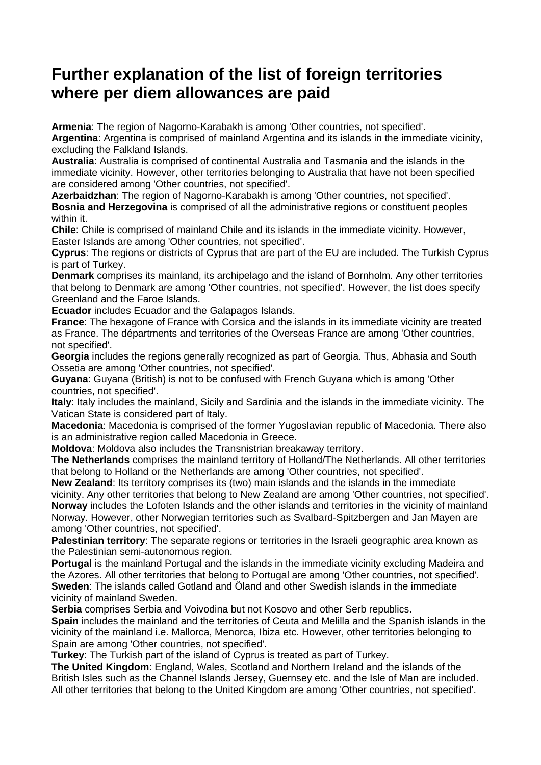## **Further explanation of the list of foreign territories where per diem allowances are paid**

**Armenia**: The region of Nagorno-Karabakh is among 'Other countries, not specified'.

**Argentina**: Argentina is comprised of mainland Argentina and its islands in the immediate vicinity, excluding the Falkland Islands.

**Australia**: Australia is comprised of continental Australia and Tasmania and the islands in the immediate vicinity. However, other territories belonging to Australia that have not been specified are considered among 'Other countries, not specified'.

**Azerbaidzhan**: The region of Nagorno-Karabakh is among 'Other countries, not specified'. **Bosnia and Herzegovina** is comprised of all the administrative regions or constituent peoples within it.

**Chile**: Chile is comprised of mainland Chile and its islands in the immediate vicinity. However, Easter Islands are among 'Other countries, not specified'.

**Cyprus**: The regions or districts of Cyprus that are part of the EU are included. The Turkish Cyprus is part of Turkey.

**Denmark** comprises its mainland, its archipelago and the island of Bornholm. Any other territories that belong to Denmark are among 'Other countries, not specified'. However, the list does specify Greenland and the Faroe Islands.

**Ecuador** includes Ecuador and the Galapagos Islands.

**France**: The hexagone of France with Corsica and the islands in its immediate vicinity are treated as France. The départments and territories of the Overseas France are among 'Other countries, not specified'.

**Georgia** includes the regions generally recognized as part of Georgia. Thus, Abhasia and South Ossetia are among 'Other countries, not specified'.

**Guyana**: Guyana (British) is not to be confused with French Guyana which is among 'Other countries, not specified'.

**Italy**: Italy includes the mainland, Sicily and Sardinia and the islands in the immediate vicinity. The Vatican State is considered part of Italy.

**Macedonia**: Macedonia is comprised of the former Yugoslavian republic of Macedonia. There also is an administrative region called Macedonia in Greece.

**Moldova**: Moldova also includes the Transnistrian breakaway territory.

**The Netherlands** comprises the mainland territory of Holland/The Netherlands. All other territories that belong to Holland or the Netherlands are among 'Other countries, not specified'.

**New Zealand**: Its territory comprises its (two) main islands and the islands in the immediate vicinity. Any other territories that belong to New Zealand are among 'Other countries, not specified'. **Norway** includes the Lofoten Islands and the other islands and territories in the vicinity of mainland Norway. However, other Norwegian territories such as Svalbard-Spitzbergen and Jan Mayen are among 'Other countries, not specified'.

**Palestinian territory**: The separate regions or territories in the Israeli geographic area known as the Palestinian semi-autonomous region.

**Portugal** is the mainland Portugal and the islands in the immediate vicinity excluding Madeira and the Azores. All other territories that belong to Portugal are among 'Other countries, not specified'. **Sweden**: The islands called Gotland and Öland and other Swedish islands in the immediate vicinity of mainland Sweden.

**Serbia** comprises Serbia and Voivodina but not Kosovo and other Serb republics.

**Spain** includes the mainland and the territories of Ceuta and Melilla and the Spanish islands in the vicinity of the mainland i.e. Mallorca, Menorca, Ibiza etc. However, other territories belonging to Spain are among 'Other countries, not specified'.

**Turkey**: The Turkish part of the island of Cyprus is treated as part of Turkey.

**The United Kingdom**: England, Wales, Scotland and Northern Ireland and the islands of the British Isles such as the Channel Islands Jersey, Guernsey etc. and the Isle of Man are included. All other territories that belong to the United Kingdom are among 'Other countries, not specified'.